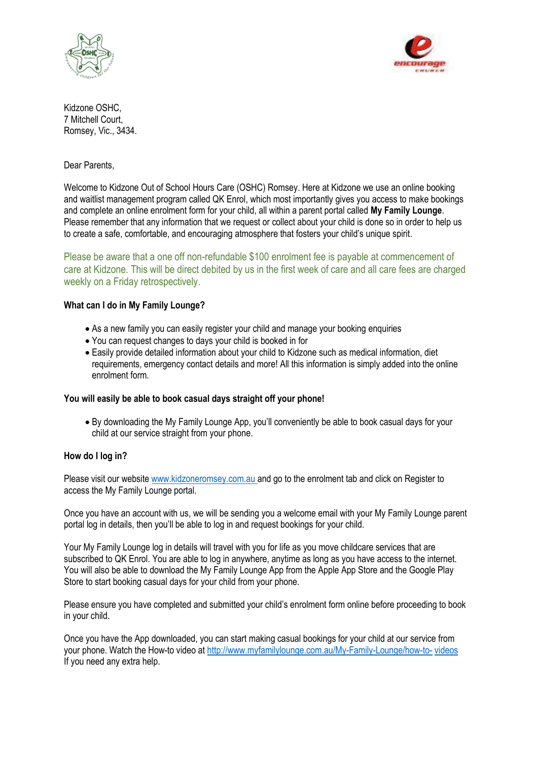



Kidzone OSHC, 7 Mitchell Court, Romsey, Vic., 3434.

Dear Parents,

Welcome to Kidzone Out of School Hours Care (OSHC) Romsey. Here at Kidzone we use an online booking and waitlist management program called QK Enrol, which most importantly gives you access to make bookings and complete an online enrolment form for your child, all within a parent portal called **My Family Lounge**. Please remember that any information that we request or collect about your child is done so in order to help us to create a safe, comfortable, and encouraging atmosphere that fosters your child's unique spirit.

Please be aware that a one off non-refundable \$100 enrolment fee is payable at commencement of care at Kidzone. This will be direct debited by us in the first week of care and all care fees are charged weekly on a Friday retrospectively.

## **What can I do in My Family Lounge?**

- As a new family you can easily register your child and manage your booking enquiries
- You can request changes to days your child is booked in for
- Easily provide detailed information about your child to Kidzone such as medical information, diet requirements, emergency contact details and more! All this information is simply added into the online enrolment form.

## **You will easily be able to book casual days straight off your phone!**

• By downloading the My Family Lounge App, you'll conveniently be able to book casual days for your child at our service straight from your phone.

## **How do I log in?**

Please visit our website [www.kidzoneromsey.com.au](http://www.kidzoneromsey.com.au/) and go to the enrolment tab and click on Register to access the My Family Lounge portal.

Once you have an account with us, we will be sending you a welcome email with your My Family Lounge parent portal log in details, then you'll be able to log in and request bookings for your child.

Your My Family Lounge log in details will travel with you for life as you move childcare services that are subscribed to QK Enrol. You are able to log in anywhere, anytime as long as you have access to the internet. You will also be able to download the My Family Lounge App from the Apple App Store and the Google Play Store to start booking casual days for your child from your phone.

Please ensure you have completed and submitted your child's enrolment form online before proceeding to book in your child.

Once you have the App downloaded, you can start making casual bookings for your child at our service from your phone. Watch the How-to video at [http://www.myfamilylounge.com.au/My-Family-Lounge/how-to-](http://www.myfamilylounge.com.au/My-Family-Lounge/how-to-videos) [videos](http://www.myfamilylounge.com.au/My-Family-Lounge/how-to-videos) If you need any extra help.